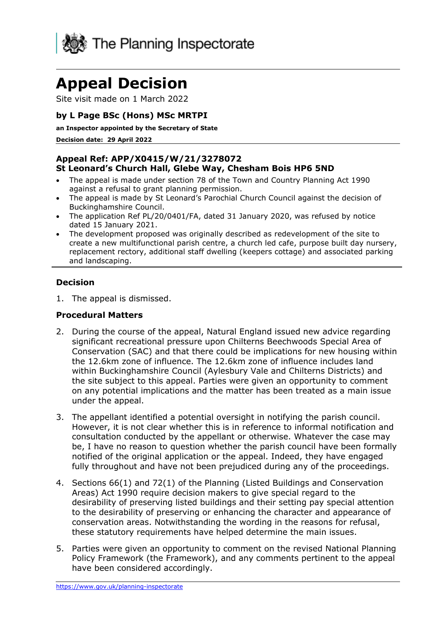

# **Appeal Decision**

Site visit made on 1 March 2022

## **by L Page BSc (Hons) MSc MRTPI**

**an Inspector appointed by the Secretary of State**

**Decision date: 29 April 2022**

#### **Appeal Ref: APP/X0415/W/21/3278072 St Leonard's Church Hall, Glebe Way, Chesham Bois HP6 5ND**

- The appeal is made under section 78 of the Town and Country Planning Act 1990 against a refusal to grant planning permission.
- The appeal is made by St Leonard's Parochial Church Council against the decision of Buckinghamshire Council.
- The application Ref PL/20/0401/FA, dated 31 January 2020, was refused by notice dated 15 January 2021.
- The development proposed was originally described as redevelopment of the site to create a new multifunctional parish centre, a church led cafe, purpose built day nursery, replacement rectory, additional staff dwelling (keepers cottage) and associated parking and landscaping.

#### **Decision**

1. The appeal is dismissed.

#### **Procedural Matters**

- 2. During the course of the appeal, Natural England issued new advice regarding significant recreational pressure upon Chilterns Beechwoods Special Area of Conservation (SAC) and that there could be implications for new housing within the 12.6km zone of influence. The 12.6km zone of influence includes land within Buckinghamshire Council (Aylesbury Vale and Chilterns Districts) and the site subject to this appeal. Parties were given an opportunity to comment on any potential implications and the matter has been treated as a main issue under the appeal.
- 3. The appellant identified a potential oversight in notifying the parish council. However, it is not clear whether this is in reference to informal notification and consultation conducted by the appellant or otherwise. Whatever the case may be, I have no reason to question whether the parish council have been formally notified of the original application or the appeal. Indeed, they have engaged fully throughout and have not been prejudiced during any of the proceedings.
- 4. Sections 66(1) and 72(1) of the Planning (Listed Buildings and Conservation Areas) Act 1990 require decision makers to give special regard to the desirability of preserving listed buildings and their setting pay special attention to the desirability of preserving or enhancing the character and appearance of conservation areas. Notwithstanding the wording in the reasons for refusal, these statutory requirements have helped determine the main issues.
- 5. Parties were given an opportunity to comment on the revised National Planning Policy Framework (the Framework), and any comments pertinent to the appeal have been considered accordingly.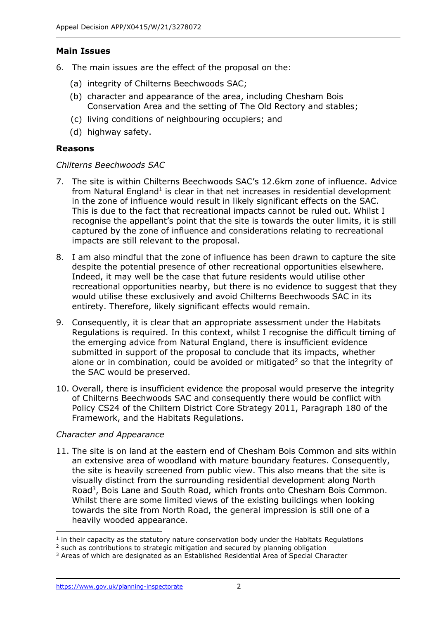# **Main Issues**

- 6. The main issues are the effect of the proposal on the:
	- (a) integrity of Chilterns Beechwoods SAC;
	- (b) character and appearance of the area, including Chesham Bois Conservation Area and the setting of The Old Rectory and stables;
	- (c) living conditions of neighbouring occupiers; and
	- (d) highway safety.

# **Reasons**

#### *Chilterns Beechwoods SAC*

- 7. The site is within Chilterns Beechwoods SAC's 12.6km zone of influence. Advice from Natural England<sup>1</sup> is clear in that net increases in residential development in the zone of influence would result in likely significant effects on the SAC. This is due to the fact that recreational impacts cannot be ruled out. Whilst I recognise the appellant's point that the site is towards the outer limits, it is still captured by the zone of influence and considerations relating to recreational impacts are still relevant to the proposal.
- 8. I am also mindful that the zone of influence has been drawn to capture the site despite the potential presence of other recreational opportunities elsewhere. Indeed, it may well be the case that future residents would utilise other recreational opportunities nearby, but there is no evidence to suggest that they would utilise these exclusively and avoid Chilterns Beechwoods SAC in its entirety. Therefore, likely significant effects would remain.
- 9. Consequently, it is clear that an appropriate assessment under the Habitats Regulations is required. In this context, whilst I recognise the difficult timing of the emerging advice from Natural England, there is insufficient evidence submitted in support of the proposal to conclude that its impacts, whether alone or in combination, could be avoided or mitigated<sup>2</sup> so that the integrity of the SAC would be preserved.
- 10. Overall, there is insufficient evidence the proposal would preserve the integrity of Chilterns Beechwoods SAC and consequently there would be conflict with Policy CS24 of the Chiltern District Core Strategy 2011, Paragraph 180 of the Framework, and the Habitats Regulations.

# *Character and Appearance*

11. The site is on land at the eastern end of Chesham Bois Common and sits within an extensive area of woodland with mature boundary features. Consequently, the site is heavily screened from public view. This also means that the site is visually distinct from the surrounding residential development along North Road<sup>3</sup>, Bois Lane and South Road, which fronts onto Chesham Bois Common. Whilst there are some limited views of the existing buildings when looking towards the site from North Road, the general impression is still one of a heavily wooded appearance.

 $<sup>1</sup>$  in their capacity as the statutory nature conservation body under the Habitats Regulations</sup>

<sup>&</sup>lt;sup>2</sup> such as contributions to strategic mitigation and secured by planning obligation

<sup>3</sup> Areas of which are designated as an Established Residential Area of Special Character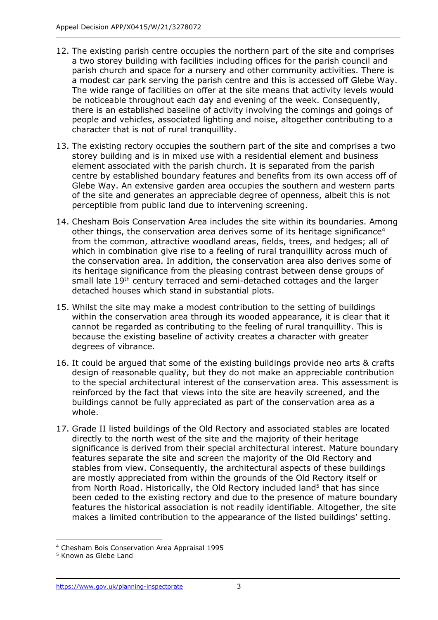- 12. The existing parish centre occupies the northern part of the site and comprises a two storey building with facilities including offices for the parish council and parish church and space for a nursery and other community activities. There is a modest car park serving the parish centre and this is accessed off Glebe Way. The wide range of facilities on offer at the site means that activity levels would be noticeable throughout each day and evening of the week. Consequently, there is an established baseline of activity involving the comings and goings of people and vehicles, associated lighting and noise, altogether contributing to a character that is not of rural tranquillity.
- 13. The existing rectory occupies the southern part of the site and comprises a two storey building and is in mixed use with a residential element and business element associated with the parish church. It is separated from the parish centre by established boundary features and benefits from its own access off of Glebe Way. An extensive garden area occupies the southern and western parts of the site and generates an appreciable degree of openness, albeit this is not perceptible from public land due to intervening screening.
- 14. Chesham Bois Conservation Area includes the site within its boundaries. Among other things, the conservation area derives some of its heritage significance<sup>4</sup> from the common, attractive woodland areas, fields, trees, and hedges; all of which in combination give rise to a feeling of rural tranquillity across much of the conservation area. In addition, the conservation area also derives some of its heritage significance from the pleasing contrast between dense groups of small late 19<sup>th</sup> century terraced and semi-detached cottages and the larger detached houses which stand in substantial plots.
- 15. Whilst the site may make a modest contribution to the setting of buildings within the conservation area through its wooded appearance, it is clear that it cannot be regarded as contributing to the feeling of rural tranquillity. This is because the existing baseline of activity creates a character with greater degrees of vibrance.
- 16. It could be argued that some of the existing buildings provide neo arts & crafts design of reasonable quality, but they do not make an appreciable contribution to the special architectural interest of the conservation area. This assessment is reinforced by the fact that views into the site are heavily screened, and the buildings cannot be fully appreciated as part of the conservation area as a whole.
- 17. Grade II listed buildings of the Old Rectory and associated stables are located directly to the north west of the site and the majority of their heritage significance is derived from their special architectural interest. Mature boundary features separate the site and screen the majority of the Old Rectory and stables from view. Consequently, the architectural aspects of these buildings are mostly appreciated from within the grounds of the Old Rectory itself or from North Road. Historically, the Old Rectory included land<sup>5</sup> that has since been ceded to the existing rectory and due to the presence of mature boundary features the historical association is not readily identifiable. Altogether, the site makes a limited contribution to the appearance of the listed buildings' setting.

<sup>4</sup> Chesham Bois Conservation Area Appraisal 1995

<sup>5</sup> Known as Glebe Land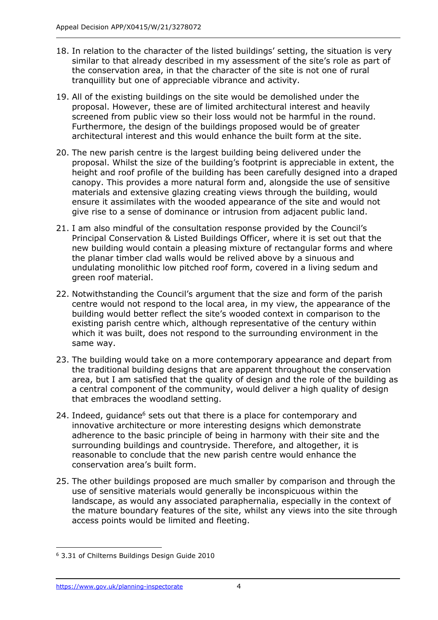- 18. In relation to the character of the listed buildings' setting, the situation is very similar to that already described in my assessment of the site's role as part of the conservation area, in that the character of the site is not one of rural tranquillity but one of appreciable vibrance and activity.
- 19. All of the existing buildings on the site would be demolished under the proposal. However, these are of limited architectural interest and heavily screened from public view so their loss would not be harmful in the round. Furthermore, the design of the buildings proposed would be of greater architectural interest and this would enhance the built form at the site.
- 20. The new parish centre is the largest building being delivered under the proposal. Whilst the size of the building's footprint is appreciable in extent, the height and roof profile of the building has been carefully designed into a draped canopy. This provides a more natural form and, alongside the use of sensitive materials and extensive glazing creating views through the building, would ensure it assimilates with the wooded appearance of the site and would not give rise to a sense of dominance or intrusion from adjacent public land.
- 21. I am also mindful of the consultation response provided by the Council's Principal Conservation & Listed Buildings Officer, where it is set out that the new building would contain a pleasing mixture of rectangular forms and where the planar timber clad walls would be relived above by a sinuous and undulating monolithic low pitched roof form, covered in a living sedum and green roof material.
- 22. Notwithstanding the Council's argument that the size and form of the parish centre would not respond to the local area, in my view, the appearance of the building would better reflect the site's wooded context in comparison to the existing parish centre which, although representative of the century within which it was built, does not respond to the surrounding environment in the same way.
- 23. The building would take on a more contemporary appearance and depart from the traditional building designs that are apparent throughout the conservation area, but I am satisfied that the quality of design and the role of the building as a central component of the community, would deliver a high quality of design that embraces the woodland setting.
- 24. Indeed, quidance<sup>6</sup> sets out that there is a place for contemporary and innovative architecture or more interesting designs which demonstrate adherence to the basic principle of being in harmony with their site and the surrounding buildings and countryside. Therefore, and altogether, it is reasonable to conclude that the new parish centre would enhance the conservation area's built form.
- 25. The other buildings proposed are much smaller by comparison and through the use of sensitive materials would generally be inconspicuous within the landscape, as would any associated paraphernalia, especially in the context of the mature boundary features of the site, whilst any views into the site through access points would be limited and fleeting.

<sup>6</sup> 3.31 of Chilterns Buildings Design Guide 2010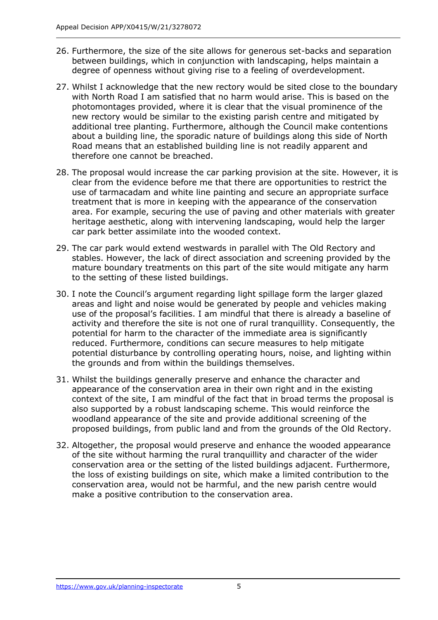- 26. Furthermore, the size of the site allows for generous set-backs and separation between buildings, which in conjunction with landscaping, helps maintain a degree of openness without giving rise to a feeling of overdevelopment.
- 27. Whilst I acknowledge that the new rectory would be sited close to the boundary with North Road I am satisfied that no harm would arise. This is based on the photomontages provided, where it is clear that the visual prominence of the new rectory would be similar to the existing parish centre and mitigated by additional tree planting. Furthermore, although the Council make contentions about a building line, the sporadic nature of buildings along this side of North Road means that an established building line is not readily apparent and therefore one cannot be breached.
- 28. The proposal would increase the car parking provision at the site. However, it is clear from the evidence before me that there are opportunities to restrict the use of tarmacadam and white line painting and secure an appropriate surface treatment that is more in keeping with the appearance of the conservation area. For example, securing the use of paving and other materials with greater heritage aesthetic, along with intervening landscaping, would help the larger car park better assimilate into the wooded context.
- 29. The car park would extend westwards in parallel with The Old Rectory and stables. However, the lack of direct association and screening provided by the mature boundary treatments on this part of the site would mitigate any harm to the setting of these listed buildings.
- 30. I note the Council's argument regarding light spillage form the larger glazed areas and light and noise would be generated by people and vehicles making use of the proposal's facilities. I am mindful that there is already a baseline of activity and therefore the site is not one of rural tranquillity. Consequently, the potential for harm to the character of the immediate area is significantly reduced. Furthermore, conditions can secure measures to help mitigate potential disturbance by controlling operating hours, noise, and lighting within the grounds and from within the buildings themselves.
- 31. Whilst the buildings generally preserve and enhance the character and appearance of the conservation area in their own right and in the existing context of the site, I am mindful of the fact that in broad terms the proposal is also supported by a robust landscaping scheme. This would reinforce the woodland appearance of the site and provide additional screening of the proposed buildings, from public land and from the grounds of the Old Rectory.
- 32. Altogether, the proposal would preserve and enhance the wooded appearance of the site without harming the rural tranquillity and character of the wider conservation area or the setting of the listed buildings adjacent. Furthermore, the loss of existing buildings on site, which make a limited contribution to the conservation area, would not be harmful, and the new parish centre would make a positive contribution to the conservation area.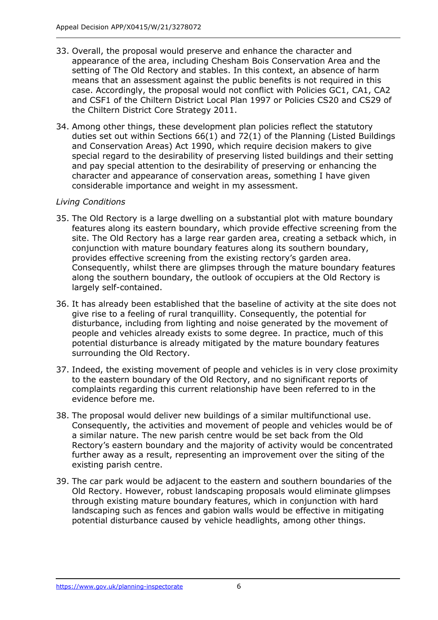- 33. Overall, the proposal would preserve and enhance the character and appearance of the area, including Chesham Bois Conservation Area and the setting of The Old Rectory and stables. In this context, an absence of harm means that an assessment against the public benefits is not required in this case. Accordingly, the proposal would not conflict with Policies GC1, CA1, CA2 and CSF1 of the Chiltern District Local Plan 1997 or Policies CS20 and CS29 of the Chiltern District Core Strategy 2011.
- 34. Among other things, these development plan policies reflect the statutory duties set out within Sections 66(1) and 72(1) of the Planning (Listed Buildings and Conservation Areas) Act 1990, which require decision makers to give special regard to the desirability of preserving listed buildings and their setting and pay special attention to the desirability of preserving or enhancing the character and appearance of conservation areas, something I have given considerable importance and weight in my assessment.

# *Living Conditions*

- 35. The Old Rectory is a large dwelling on a substantial plot with mature boundary features along its eastern boundary, which provide effective screening from the site. The Old Rectory has a large rear garden area, creating a setback which, in conjunction with mature boundary features along its southern boundary, provides effective screening from the existing rectory's garden area. Consequently, whilst there are glimpses through the mature boundary features along the southern boundary, the outlook of occupiers at the Old Rectory is largely self-contained.
- 36. It has already been established that the baseline of activity at the site does not give rise to a feeling of rural tranquillity. Consequently, the potential for disturbance, including from lighting and noise generated by the movement of people and vehicles already exists to some degree. In practice, much of this potential disturbance is already mitigated by the mature boundary features surrounding the Old Rectory.
- 37. Indeed, the existing movement of people and vehicles is in very close proximity to the eastern boundary of the Old Rectory, and no significant reports of complaints regarding this current relationship have been referred to in the evidence before me.
- 38. The proposal would deliver new buildings of a similar multifunctional use. Consequently, the activities and movement of people and vehicles would be of a similar nature. The new parish centre would be set back from the Old Rectory's eastern boundary and the majority of activity would be concentrated further away as a result, representing an improvement over the siting of the existing parish centre.
- 39. The car park would be adjacent to the eastern and southern boundaries of the Old Rectory. However, robust landscaping proposals would eliminate glimpses through existing mature boundary features, which in conjunction with hard landscaping such as fences and gabion walls would be effective in mitigating potential disturbance caused by vehicle headlights, among other things.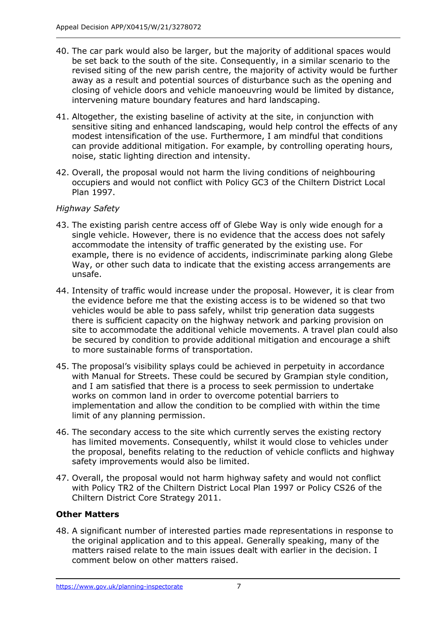- 40. The car park would also be larger, but the majority of additional spaces would be set back to the south of the site. Consequently, in a similar scenario to the revised siting of the new parish centre, the majority of activity would be further away as a result and potential sources of disturbance such as the opening and closing of vehicle doors and vehicle manoeuvring would be limited by distance, intervening mature boundary features and hard landscaping.
- 41. Altogether, the existing baseline of activity at the site, in conjunction with sensitive siting and enhanced landscaping, would help control the effects of any modest intensification of the use. Furthermore, I am mindful that conditions can provide additional mitigation. For example, by controlling operating hours, noise, static lighting direction and intensity.
- 42. Overall, the proposal would not harm the living conditions of neighbouring occupiers and would not conflict with Policy GC3 of the Chiltern District Local Plan 1997.

## *Highway Safety*

- 43. The existing parish centre access off of Glebe Way is only wide enough for a single vehicle. However, there is no evidence that the access does not safely accommodate the intensity of traffic generated by the existing use. For example, there is no evidence of accidents, indiscriminate parking along Glebe Way, or other such data to indicate that the existing access arrangements are unsafe.
- 44. Intensity of traffic would increase under the proposal. However, it is clear from the evidence before me that the existing access is to be widened so that two vehicles would be able to pass safely, whilst trip generation data suggests there is sufficient capacity on the highway network and parking provision on site to accommodate the additional vehicle movements. A travel plan could also be secured by condition to provide additional mitigation and encourage a shift to more sustainable forms of transportation.
- 45. The proposal's visibility splays could be achieved in perpetuity in accordance with Manual for Streets. These could be secured by Grampian style condition, and I am satisfied that there is a process to seek permission to undertake works on common land in order to overcome potential barriers to implementation and allow the condition to be complied with within the time limit of any planning permission.
- 46. The secondary access to the site which currently serves the existing rectory has limited movements. Consequently, whilst it would close to vehicles under the proposal, benefits relating to the reduction of vehicle conflicts and highway safety improvements would also be limited.
- 47. Overall, the proposal would not harm highway safety and would not conflict with Policy TR2 of the Chiltern District Local Plan 1997 or Policy CS26 of the Chiltern District Core Strategy 2011.

# **Other Matters**

48. A significant number of interested parties made representations in response to the original application and to this appeal. Generally speaking, many of the matters raised relate to the main issues dealt with earlier in the decision. I comment below on other matters raised.